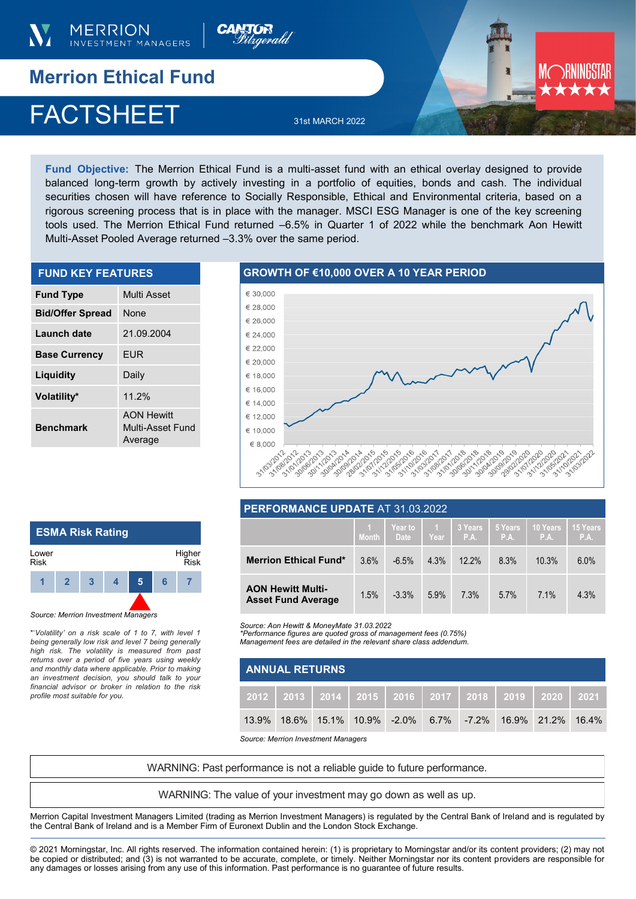



## **Merrion Ethical Fund**

# FACTSHEET 31st MARCH 2022

**Fund Objective:** The Merrion Ethical Fund is a multi-asset fund with an ethical overlay designed to provide balanced long-term growth by actively investing in a portfolio of equities, bonds and cash. The individual securities chosen will have reference to Socially Responsible, Ethical and Environmental criteria, based on a rigorous screening process that is in place with the manager. MSCI ESG Manager is one of the key screening tools used. The Merrion Ethical Fund returned –6.5% in Quarter 1 of 2022 while the benchmark Aon Hewitt Multi-Asset Pooled Average returned –3.3% over the same period.

| <b>FUND KEY FEATURES</b> |                                                  |  |  |  |  |
|--------------------------|--------------------------------------------------|--|--|--|--|
| <b>Fund Type</b>         | Multi Asset                                      |  |  |  |  |
| <b>Bid/Offer Spread</b>  | <b>None</b>                                      |  |  |  |  |
| Launch date              | 21.09.2004                                       |  |  |  |  |
| <b>Base Currency</b>     | <b>FUR</b>                                       |  |  |  |  |
| Liquidity                | Daily                                            |  |  |  |  |
| Volatility*              | 11.2%                                            |  |  |  |  |
| <b>Benchmark</b>         | <b>AON Hewitt</b><br>Multi-Asset Fund<br>Average |  |  |  |  |

#### **GROWTH OF €10,000 OVER A 10 YEAR PERIOD**



#### **ESMA Risk Rating**  Lower Risk Higher Risk **1 2 3 4 5 6 7**

*Source: Merrion Investment Managers*

\*'*Volatility' on a risk scale of 1 to 7, with level 1 being generally low risk and level 7 being generally high risk. The volatility is measured from past returns over a period of five years using weekly and monthly data where applicable. Prior to making an investment decision, you should talk to your financial advisor or broker in relation to the risk profile most suitable for you.* 

#### **PERFORMANCE UPDATE** AT 31.03.2022

|                                                       | <b>Month</b> | Year to 1<br>Date | Year | 3 Years<br>P.A. | 5 Years<br>P.A. | 10 Years<br>P.A. | 15 Years<br>P.A. |
|-------------------------------------------------------|--------------|-------------------|------|-----------------|-----------------|------------------|------------------|
| <b>Merrion Ethical Fund*</b>                          | 3.6%         | $-6.5%$           | 4.3% | $12.2\%$        | 8.3%            | 10.3%            | 6.0%             |
| <b>AON Hewitt Multi-</b><br><b>Asset Fund Average</b> | 1.5%         | $-3.3\%$          | 5.9% | 7.3%            | 5.7%            | 7.1%             | 4.3%             |

*Source: Aon Hewitt & MoneyMate 31.03.2022*

*\*Performance figures are quoted gross of management fees (0.75%) Management fees are detailed in the relevant share class addendum.* 

|  | $11.011.019$ and $1.0000$ and $0.001.001$ and $0.0101.001$ and $0.001.000$ and $0.0000$ and $0.0000$ |  |
|--|------------------------------------------------------------------------------------------------------|--|
|  |                                                                                                      |  |
|  |                                                                                                      |  |
|  |                                                                                                      |  |
|  |                                                                                                      |  |

| <b>ANNUAL RETURNS</b> |  |  |  |  |  |  |                                                                     |  |
|-----------------------|--|--|--|--|--|--|---------------------------------------------------------------------|--|
|                       |  |  |  |  |  |  | 2012   2013   2014   2015   2016   2017   2018   2019   2020   2021 |  |
|                       |  |  |  |  |  |  | 13.9% 18.6% 15.1% 10.9% -2.0% 6.7% -7.2% 16.9% 21.2% 16.4%          |  |

*Source: Merrion Investment Managers*

WARNING: Past performance is not a reliable guide to future performance.

WARNING: The value of your investment may go down as well as up.

Merrion Capital Investment Managers Limited (trading as Merrion Investment Managers) is regulated by the Central Bank of Ireland and is regulated by the Central Bank of Ireland and is a Member Firm of Euronext Dublin and the London Stock Exchange.

© 2021 Morningstar, Inc. All rights reserved. The information contained herein: (1) is proprietary to Morningstar and/or its content providers; (2) may not be copied or distributed; and (3) is not warranted to be accurate, complete, or timely. Neither Morningstar nor its content providers are responsible for any damages or losses arising from any use of this information. Past performance is no guarantee of future results.